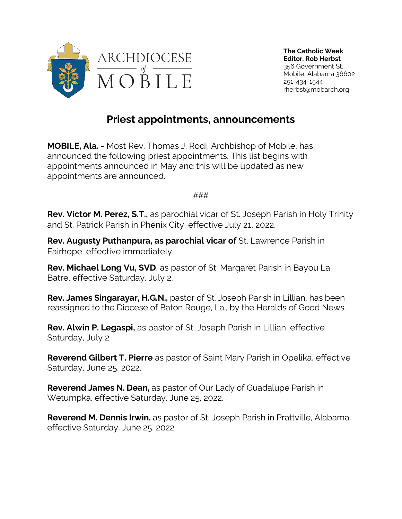

## **Priest appointments, announcements**

**MOBILE, Ala. -** Most Rev. Thomas J. Rodi, Archbishop of Mobile, has announced the following priest appointments. This list begins with appointments announced in May and this will be updated as new appointments are announced.

###

**Rev. Victor M. Perez, S.T.,** as parochial vicar of St. Joseph Parish in Holy Trinity and St. Patrick Parish in Phenix City, effective July 21, 2022.

**Rev. Augusty Puthanpura, as parochial vicar of** St. Lawrence Parish in Fairhope, effective immediately.

**Rev. Michael Long Vu, SVD**, as pastor of St. Margaret Parish in Bayou La Batre, effective Saturday, July 2.

**Rev. James Singarayar, H.G.N.,** pastor of St. Joseph Parish in Lillian, has been reassigned to the Diocese of Baton Rouge, La., by the Heralds of Good News.

**Rev. Alwin P. Legaspi,** as pastor of St. Joseph Parish in Lillian, effective Saturday, July 2

**Reverend Gilbert T. Pierre** as pastor of Saint Mary Parish in Opelika, effective Saturday, June 25, 2022.

**Reverend James N. Dean,** as pastor of Our Lady of Guadalupe Parish in Wetumpka, effective Saturday, June 25, 2022.

**Reverend M. Dennis Irwin,** as pastor of St. Joseph Parish in Prattville, Alabama, effective Saturday, June 25, 2022.